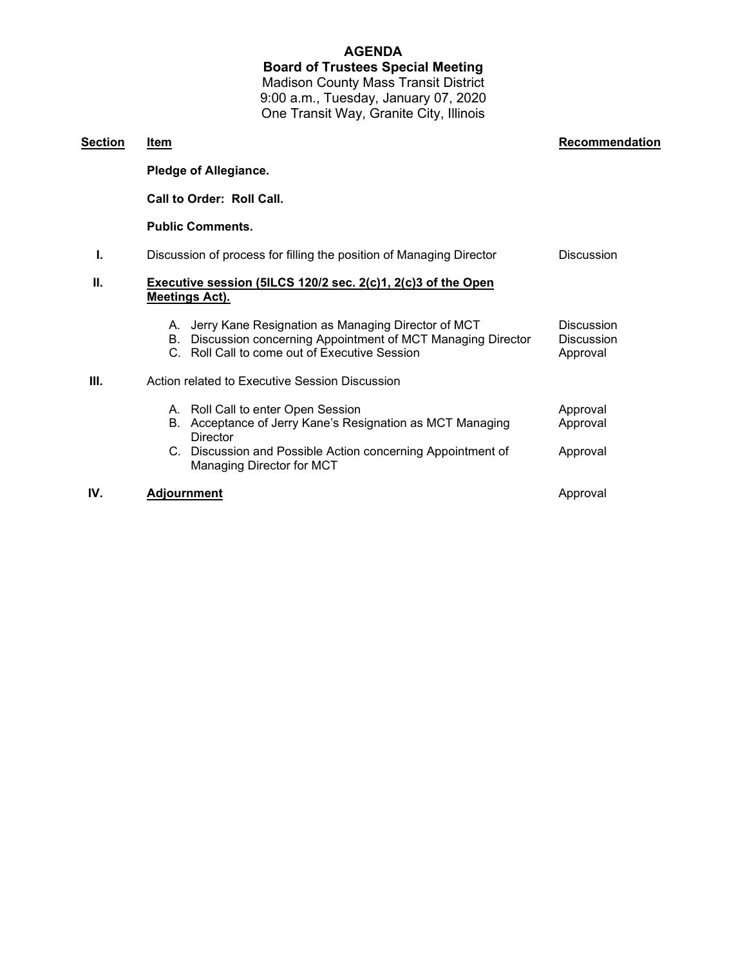## **AGENDA**

**Board of Trustees Special Meeting** Madison County Mass Transit District 9:00 a.m., Tuesday, January 07, 2020 One Transit Way, Granite City, Illinois

| <u>Section</u> | Item                                                                                                                                                                          | Recommendation                                     |
|----------------|-------------------------------------------------------------------------------------------------------------------------------------------------------------------------------|----------------------------------------------------|
|                | <b>Pledge of Allegiance.</b>                                                                                                                                                  |                                                    |
|                | Call to Order: Roll Call.                                                                                                                                                     |                                                    |
|                | <b>Public Comments.</b>                                                                                                                                                       |                                                    |
| ı.             | Discussion of process for filling the position of Managing Director                                                                                                           | <b>Discussion</b>                                  |
| Ш.             | Executive session (5ILCS 120/2 sec. 2(c)1, 2(c)3 of the Open<br><b>Meetings Act).</b>                                                                                         |                                                    |
|                | Jerry Kane Resignation as Managing Director of MCT<br>А.<br>Discussion concerning Appointment of MCT Managing Director<br>В.<br>C. Roll Call to come out of Executive Session | <b>Discussion</b><br><b>Discussion</b><br>Approval |
| Ш.             | Action related to Executive Session Discussion                                                                                                                                |                                                    |
|                | A. Roll Call to enter Open Session<br>Acceptance of Jerry Kane's Resignation as MCT Managing<br>В.<br>Director<br>C. Discussion and Possible Action concerning Appointment of | Approval<br>Approval<br>Approval                   |
|                | Managing Director for MCT                                                                                                                                                     |                                                    |
| IV.            | <b>Adjournment</b>                                                                                                                                                            | Approval                                           |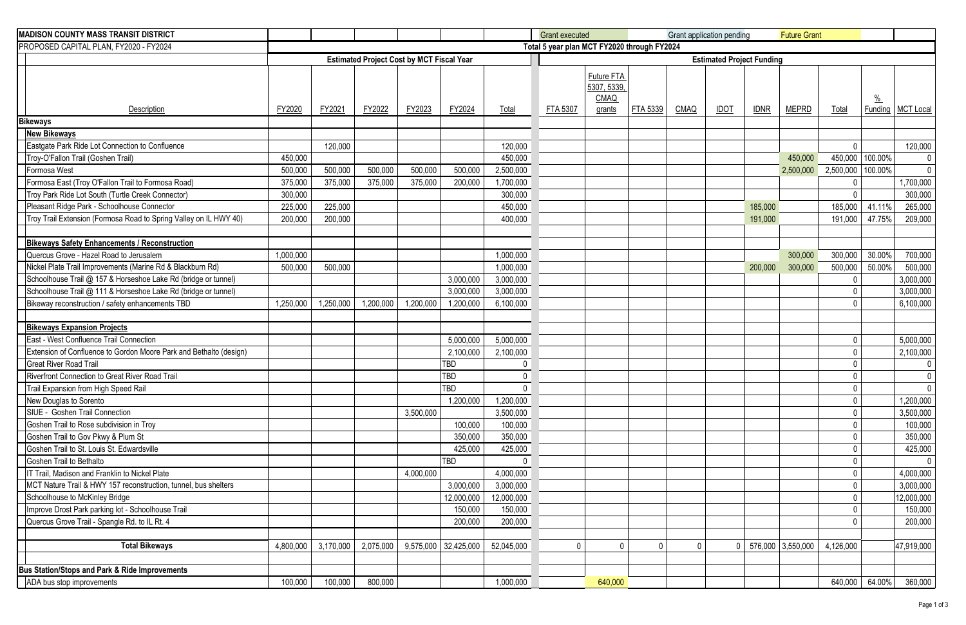| <b>MADISON COUNTY MASS TRANSIT DISTRICT</b>                        |           |                                  |           |           |                        |              | <b>Grant executed</b>                       |                                   |             |          | Grant application pending |             | <b>Future Grant</b> |              |                          |                  |
|--------------------------------------------------------------------|-----------|----------------------------------|-----------|-----------|------------------------|--------------|---------------------------------------------|-----------------------------------|-------------|----------|---------------------------|-------------|---------------------|--------------|--------------------------|------------------|
| PROPOSED CAPITAL PLAN, FY2020 - FY2024                             |           |                                  |           |           |                        |              | Total 5 year plan MCT FY2020 through FY2024 |                                   |             |          |                           |             |                     |              |                          |                  |
|                                                                    |           | <b>Estimated Project Funding</b> |           |           |                        |              |                                             |                                   |             |          |                           |             |                     |              |                          |                  |
|                                                                    | FY2020    | FY2021                           | FY2022    |           | FY2024                 |              |                                             | Future FTA<br>5307, 5339,<br>CMAQ | FTA 5339    |          |                           |             |                     |              | $\frac{0}{0}$<br>Funding |                  |
| Description                                                        |           |                                  |           | FY2023    |                        | Total        | FTA 5307                                    | grants                            |             | CMAQ     | <b>IDOT</b>               | <b>IDNR</b> | <b>MEPRD</b>        | <b>Total</b> |                          | <b>MCT Local</b> |
| <b>Bikeways</b><br><b>New Bikeways</b>                             |           |                                  |           |           |                        |              |                                             |                                   |             |          |                           |             |                     |              |                          |                  |
| Eastgate Park Ride Lot Connection to Confluence                    |           | 120,000                          |           |           |                        | 120,000      |                                             |                                   |             |          |                           |             |                     | $\mathbf 0$  |                          | 120,000          |
| Troy-O'Fallon Trail (Goshen Trail)                                 | 450,000   |                                  |           |           |                        | 450,000      |                                             |                                   |             |          |                           |             | 450,000             |              | 450,000 100.00%          | $\mathbf 0$      |
| Formosa West                                                       | 500,000   | 500,000                          | 500,000   | 500,000   | 500,000                | 2,500,000    |                                             |                                   |             |          |                           |             | 2,500,000           | 2,500,000    | 100.00%                  | $\mathbf 0$      |
| Formosa East (Troy O'Fallon Trail to Formosa Road)                 | 375,000   | 375,000                          | 375,000   | 375,000   | 200,000                | 1,700,000    |                                             |                                   |             |          |                           |             |                     | 0            |                          | 1,700,000        |
| Troy Park Ride Lot South (Turtle Creek Connector)                  | 300,000   |                                  |           |           |                        | 300,000      |                                             |                                   |             |          |                           |             |                     | $\Omega$     |                          | 300,000          |
| Pleasant Ridge Park - Schoolhouse Connector                        | 225,000   | 225,000                          |           |           |                        | 450,000      |                                             |                                   |             |          |                           | 185,000     |                     | 185,000      | 41.11%                   | 265,000          |
| Troy Trail Extension (Formosa Road to Spring Valley on IL HWY 40)  | 200,000   | 200,000                          |           |           |                        | 400,000      |                                             |                                   |             |          |                           | 191,000     |                     | 191,000      | 47.75%                   | 209,000          |
|                                                                    |           |                                  |           |           |                        |              |                                             |                                   |             |          |                           |             |                     |              |                          |                  |
| <b>Bikeways Safety Enhancements / Reconstruction</b>               |           |                                  |           |           |                        |              |                                             |                                   |             |          |                           |             |                     |              |                          |                  |
| Quercus Grove - Hazel Road to Jerusalem                            | 1,000,000 |                                  |           |           |                        | 1,000,000    |                                             |                                   |             |          |                           |             | 300,000             | 300,000      | 30.00%                   | 700,000          |
| Nickel Plate Trail Improvements (Marine Rd & Blackburn Rd)         | 500,000   | 500,000                          |           |           |                        | 1,000,000    |                                             |                                   |             |          |                           | 200,000     | 300,000             | 500,000      | 50.00%                   | 500,000          |
| Schoolhouse Trail @ 157 & Horseshoe Lake Rd (bridge or tunnel)     |           |                                  |           |           | 3,000,000              | 3,000,000    |                                             |                                   |             |          |                           |             |                     | 0            |                          | 3,000,000        |
| Schoolhouse Trail @ 111 & Horseshoe Lake Rd (bridge or tunnel)     |           |                                  |           |           | 3,000,000              | 3,000,000    |                                             |                                   |             |          |                           |             |                     |              |                          | 3,000,000        |
| Bikeway reconstruction / safety enhancements TBD                   | 1,250,000 | 1,250,000                        | 1,200,000 | 1,200,000 | 1,200,000              | 6,100,000    |                                             |                                   |             |          |                           |             |                     | $\Omega$     |                          | 6,100,000        |
|                                                                    |           |                                  |           |           |                        |              |                                             |                                   |             |          |                           |             |                     |              |                          |                  |
| <b>Bikeways Expansion Projects</b>                                 |           |                                  |           |           |                        |              |                                             |                                   |             |          |                           |             |                     |              |                          |                  |
| East - West Confluence Trail Connection                            |           |                                  |           |           | 5,000,000              | 5,000,000    |                                             |                                   |             |          |                           |             |                     | 0            |                          | 5,000,000        |
| Extension of Confluence to Gordon Moore Park and Bethalto (design) |           |                                  |           |           | 2,100,000              | 2,100,000    |                                             |                                   |             |          |                           |             |                     | 0            |                          | 2,100,000        |
| <b>Great River Road Trail</b>                                      |           |                                  |           |           | TBD                    | $\mathbf 0$  |                                             |                                   |             |          |                           |             |                     | $\Omega$     |                          |                  |
| <b>Riverfront Connection to Great River Road Trail</b>             |           |                                  |           |           | TBD                    | $\mathbf{0}$ |                                             |                                   |             |          |                           |             |                     | 0            |                          | $\mathbf 0$      |
| Trail Expansion from High Speed Rail                               |           |                                  |           |           | <b>TBD</b>             | $\mathbf 0$  |                                             |                                   |             |          |                           |             |                     | 0            |                          | $\overline{0}$   |
| New Douglas to Sorento                                             |           |                                  |           |           | 1,200,000              | 1,200,000    |                                             |                                   |             |          |                           |             |                     | 0            |                          | 1,200,000        |
| SIUE - Goshen Trail Connection                                     |           |                                  |           | 3,500,000 |                        | 3,500,000    |                                             |                                   |             |          |                           |             |                     | 0            |                          | 3,500,000        |
| Goshen Trail to Rose subdivision in Troy                           |           |                                  |           |           | 100,000                | 100,000      |                                             |                                   |             |          |                           |             |                     | 0            |                          | 100,000          |
| Goshen Trail to Gov Pkwy & Plum St                                 |           |                                  |           |           | 350,000                | 350,000      |                                             |                                   |             |          |                           |             |                     | 0            |                          | 350,000          |
| Goshen Trail to St. Louis St. Edwardsville                         |           |                                  |           |           | 425,000                | 425,000      |                                             |                                   |             |          |                           |             |                     | 0            |                          | 425,000          |
| Goshen Trail to Bethalto                                           |           |                                  |           |           | TBD                    | $\mathbf 0$  |                                             |                                   |             |          |                           |             |                     | 0            |                          | $\mathbf 0$      |
| IT Trail, Madison and Franklin to Nickel Plate                     |           |                                  |           | 4,000,000 |                        | 4,000,000    |                                             |                                   |             |          |                           |             |                     | 0            |                          | 4,000,000        |
| MCT Nature Trail & HWY 157 reconstruction, tunnel, bus shelters    |           |                                  |           |           | 3,000,000              | 3,000,000    |                                             |                                   |             |          |                           |             |                     | 0            |                          | 3,000,000        |
| Schoolhouse to McKinley Bridge                                     |           |                                  |           |           | 12,000,000             | 12,000,000   |                                             |                                   |             |          |                           |             |                     | $\mathbf 0$  |                          | 12,000,000       |
| Improve Drost Park parking lot - Schoolhouse Trail                 |           |                                  |           |           | 150,000                | 150,000      |                                             |                                   |             |          |                           |             |                     | 0            |                          | 150,000          |
| Quercus Grove Trail - Spangle Rd. to IL Rt. 4                      |           |                                  |           |           | 200,000                | 200,000      |                                             |                                   |             |          |                           |             |                     | 0            |                          | 200,000          |
|                                                                    |           |                                  |           |           |                        |              |                                             |                                   |             |          |                           |             |                     |              |                          |                  |
| <b>Total Bikeways</b>                                              | 4,800,000 | 3,170,000                        | 2,075,000 |           | $9,575,000$ 32,425,000 | 52,045,000   | $\Omega$                                    | $\mathbf{0}$                      | $\mathbf 0$ | $\Omega$ |                           |             | 576,000 3,550,000   | 4,126,000    |                          | 47,919,000       |
|                                                                    |           |                                  |           |           |                        |              |                                             |                                   |             |          |                           |             |                     |              |                          |                  |
| <b>Bus Station/Stops and Park &amp; Ride Improvements</b>          |           |                                  |           |           |                        |              |                                             |                                   |             |          |                           |             |                     |              |                          |                  |
| ADA bus stop improvements                                          | 100,000   | 100,000                          | 800,000   |           |                        | 1,000,000    |                                             | 640,000                           |             |          |                           |             |                     | 640,000      | 64.00%                   | 360,000          |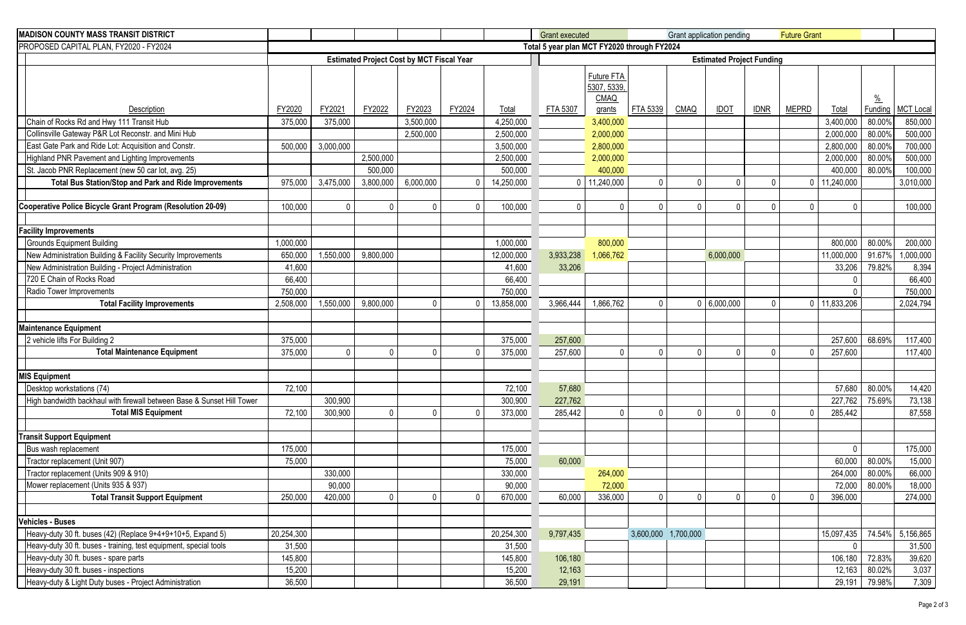| <b>MADISON COUNTY MASS TRANSIT DISTRICT</b>                                    |                                                  |              |              |              |              |            | <b>Grant executed</b>            |                                          |                     |          | Grant application pending |             | <b>Future Grant</b> |                   |                  |                  |
|--------------------------------------------------------------------------------|--------------------------------------------------|--------------|--------------|--------------|--------------|------------|----------------------------------|------------------------------------------|---------------------|----------|---------------------------|-------------|---------------------|-------------------|------------------|------------------|
| PROPOSED CAPITAL PLAN, FY2020 - FY2024                                         | Total 5 year plan MCT FY2020 through FY2024      |              |              |              |              |            |                                  |                                          |                     |          |                           |             |                     |                   |                  |                  |
|                                                                                | <b>Estimated Project Cost by MCT Fiscal Year</b> |              |              |              |              |            | <b>Estimated Project Funding</b> |                                          |                     |          |                           |             |                     |                   |                  |                  |
|                                                                                |                                                  |              |              |              |              |            |                                  | Future FTA<br>5307, 5339,<br><b>CMAQ</b> |                     |          |                           |             |                     |                   | $\frac{0}{0}$    |                  |
| Description                                                                    | FY2020                                           | FY2021       | FY2022       | FY2023       | FY2024       | Total      | FTA 5307                         | grants                                   | FTA 5339            | CMAQ     | <b>IDOT</b>               | <b>IDNR</b> | <b>MEPRD</b>        | Total             | Funding          | <b>MCT Local</b> |
| Chain of Rocks Rd and Hwy 111 Transit Hub                                      | 375,000                                          | 375,000      |              | 3,500,000    |              | 4,250,000  |                                  | 3,400,000                                |                     |          |                           |             |                     | 3,400,000         | 80.00%           | 850,000          |
| Collinsville Gateway P&R Lot Reconstr. and Mini Hub                            |                                                  |              |              | 2,500,000    |              | 2,500,000  |                                  | 2,000,000                                |                     |          |                           |             |                     | 2,000,000         | 80.00%           | 500,000          |
| East Gate Park and Ride Lot: Acquisition and Constr.                           | 500,000                                          | 3,000,000    |              |              |              | 3,500,000  |                                  | 2,800,000                                |                     |          |                           |             |                     | 2,800,000         | 80.00%           | 700,000          |
| Highland PNR Pavement and Lighting Improvements                                |                                                  |              | 2,500,000    |              |              | 2,500,000  |                                  | 2,000,000                                |                     |          |                           |             |                     | 2,000,000         | 80.00%           | 500,000          |
| St. Jacob PNR Replacement (new 50 car lot, avg. 25)                            |                                                  |              | 500,000      |              |              | 500,000    |                                  | 400,000                                  |                     |          |                           |             |                     | 400,000           | 80.00%           | 100,000          |
| Total Bus Station/Stop and Park and Ride Improvements                          | 975,000                                          | 3,475,000    | 3,800,000    | 6,000,000    | $\Omega$     | 14,250,000 |                                  | $0$   11,240,000                         | $\mathbf 0$         | $\Omega$ | <sup>0</sup>              |             |                     | $0$   11,240,000  |                  | 3,010,000        |
|                                                                                |                                                  |              |              |              |              |            |                                  |                                          |                     |          |                           |             |                     |                   |                  |                  |
| Cooperative Police Bicycle Grant Program (Resolution 20-09)                    | 100,000                                          | $\mathbf{0}$ | $\mathbf{0}$ | $\mathbf{0}$ | $\mathbf 0$  | 100,000    | $\mathsf{O}$                     | $\Omega$                                 | $\mathbf 0$         | $\Omega$ | 0                         |             | <sup>0</sup>        | $\Omega$          |                  | 100,000          |
|                                                                                |                                                  |              |              |              |              |            |                                  |                                          |                     |          |                           |             |                     |                   |                  |                  |
| <b>Facility Improvements</b>                                                   |                                                  |              |              |              |              |            |                                  |                                          |                     |          |                           |             |                     |                   |                  |                  |
| <b>Grounds Equipment Building</b>                                              | 1,000,000                                        |              |              |              |              | 1,000,000  |                                  | 800,000                                  |                     |          |                           |             |                     | 800,000           | 80.00%           | 200,000          |
| New Administration Building & Facility Security Improvements                   | 650,000                                          | 1,550,000    | 9,800,000    |              |              | 12,000,000 | 3,933,238                        | 1,066,762                                |                     |          | 6,000,000                 |             |                     | 11,000,000        | 91.67%           | 1,000,000        |
| New Administration Building - Project Administration                           | 41,600                                           |              |              |              |              | 41,600     | 33,206                           |                                          |                     |          |                           |             |                     | 33,206            | 79.82%           | 8,394            |
| 720 E Chain of Rocks Road                                                      | 66,400                                           |              |              |              |              | 66,400     |                                  |                                          |                     |          |                           |             |                     | $\Omega$          |                  | 66,400           |
| Radio Tower Improvements                                                       | 750,000                                          |              |              |              |              | 750,000    |                                  |                                          |                     |          |                           |             |                     | $\Omega$          |                  | 750,000          |
| <b>Total Facility Improvements</b>                                             | 2,508,000                                        | 1,550,000    | 9,800,000    | $\mathbf{0}$ | $\Omega$     | 13,858,000 | 3,966,444                        | 1,866,762                                | $\mathbf{0}$        |          | 0   6,000,000             |             |                     | $0$   11,833,206  |                  | 2,024,794        |
|                                                                                |                                                  |              |              |              |              |            |                                  |                                          |                     |          |                           |             |                     |                   |                  |                  |
| <b>Maintenance Equipment</b>                                                   |                                                  |              |              |              |              |            |                                  |                                          |                     |          |                           |             |                     |                   |                  |                  |
| 2 vehicle lifts For Building 2                                                 | 375,000                                          |              |              |              |              | 375,000    | 257,600                          |                                          |                     |          |                           |             |                     | 257,600           | 68.69%           | 117,400          |
| <b>Total Maintenance Equipment</b>                                             | 375,000                                          | $\Omega$     | $\mathbf 0$  | $\mathbf{0}$ | $\Omega$     | 375,000    | 257,600                          | $\mathbf{0}$                             | $\mathbf{0}$        | $\cup$   | 0                         |             |                     | 257,600           |                  | 117,400          |
|                                                                                |                                                  |              |              |              |              |            |                                  |                                          |                     |          |                           |             |                     |                   |                  |                  |
| <b>MIS Equipment</b>                                                           |                                                  |              |              |              |              |            |                                  |                                          |                     |          |                           |             |                     |                   |                  |                  |
| Desktop workstations (74)                                                      | 72,100                                           |              |              |              |              | 72,100     | 57,680                           |                                          |                     |          |                           |             |                     | 57,680            | 80.00%           | 14,420           |
| High bandwidth backhaul with firewall between Base & Sunset Hill Tower         |                                                  | 300,900      |              |              |              | 300,900    | 227,762                          |                                          |                     |          |                           |             |                     | 227,762           | 75.69%           | 73,138           |
| <b>Total MIS Equipment</b>                                                     | 72,100                                           | 300,900      | $\mathbf 0$  | $\mathbf 0$  | $\mathbf{0}$ | 373,000    | 285,442                          | $\mathbf{0}$                             | $\mathbf 0$         | $\Omega$ |                           |             |                     | 285,442           |                  | 87,558           |
|                                                                                |                                                  |              |              |              |              |            |                                  |                                          |                     |          |                           |             |                     |                   |                  |                  |
| <b>Transit Support Equipment</b>                                               |                                                  |              |              |              |              |            |                                  |                                          |                     |          |                           |             |                     |                   |                  |                  |
| Bus wash replacement                                                           | 175,000                                          |              |              |              |              | 175,000    |                                  |                                          |                     |          |                           |             |                     | $\mathbf{0}$      |                  | 175,000          |
| Tractor replacement (Unit 907)                                                 | 75,000                                           |              |              |              |              | 75,000     | 60,000                           |                                          |                     |          |                           |             |                     | 60,000            | 80.00%           | 15,000           |
| Tractor replacement (Units 909 & 910)                                          |                                                  | 330,000      |              |              |              | 330,000    |                                  | 264,000                                  |                     |          |                           |             |                     | 264,000           | 80.00%           | 66,000           |
| Mower replacement (Units 935 & 937)                                            |                                                  | 90,000       |              |              |              | 90,000     |                                  | 72,000                                   |                     |          |                           |             |                     | 72,000            | 80.00%           | 18,000           |
| <b>Total Transit Support Equipment</b>                                         | 250,000                                          | 420,000      | 0            | $\mathbf 0$  | $\mathbf{0}$ | 670,000    | 60,000                           | 336,000                                  | $\mathbf 0$         | $\Omega$ |                           |             |                     | 396,000           |                  | 274,000          |
|                                                                                |                                                  |              |              |              |              |            |                                  |                                          |                     |          |                           |             |                     |                   |                  |                  |
| Vehicles - Buses                                                               | 20,254,300                                       |              |              |              |              |            |                                  |                                          |                     |          |                           |             |                     |                   |                  |                  |
| Heavy-duty 30 ft. buses (42) (Replace 9+4+9+10+5, Expand 5)                    |                                                  |              |              |              |              | 20,254,300 | 9,797,435                        |                                          | 3,600,000 1,700,000 |          |                           |             |                     | 15,097,435        | 74.54%           | 5,156,865        |
| Heavy-duty 30 ft. buses - training, test equipment, special tools              | 31,500                                           |              |              |              |              | 31,500     |                                  |                                          |                     |          |                           |             |                     | 0                 |                  | 31,500           |
| Heavy-duty 30 ft. buses - spare parts<br>Heavy-duty 30 ft. buses - inspections | 145,800<br>15,200                                |              |              |              |              | 145,800    | 106,180                          |                                          |                     |          |                           |             |                     | 106,180<br>12,163 | 72.83%<br>80.02% | 39,620           |
|                                                                                | 36,500                                           |              |              |              |              | 15,200     | 12,163                           |                                          |                     |          |                           |             |                     |                   |                  | 3,037            |
| Heavy-duty & Light Duty buses - Project Administration                         |                                                  |              |              |              |              | 36,500     | 29,191                           |                                          |                     |          |                           |             |                     | 29,191            | 79.98%           | 7,309            |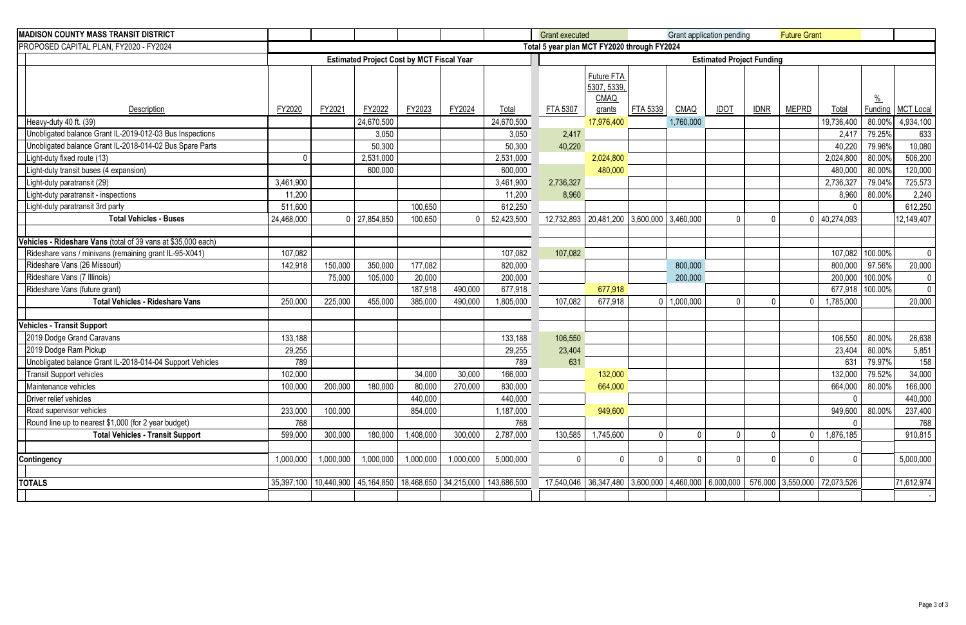| <b>MADISON COUNTY MASS TRANSIT DISTRICT</b>                   |                                                  |           |                  |           |           |                                                                              | <b>Grant executed</b> |                                                        |             | Grant application pending |             |              | <b>Future Grant</b> |                                                                                  |               |                  |  |  |  |
|---------------------------------------------------------------|--------------------------------------------------|-----------|------------------|-----------|-----------|------------------------------------------------------------------------------|-----------------------|--------------------------------------------------------|-------------|---------------------------|-------------|--------------|---------------------|----------------------------------------------------------------------------------|---------------|------------------|--|--|--|
| PROPOSED CAPITAL PLAN, FY2020 - FY2024                        |                                                  |           |                  |           |           |                                                                              |                       | Total 5 year plan MCT FY2020 through FY2024            |             |                           |             |              |                     |                                                                                  |               |                  |  |  |  |
|                                                               | <b>Estimated Project Cost by MCT Fiscal Year</b> |           |                  |           |           |                                                                              |                       | <b>Estimated Project Funding</b>                       |             |                           |             |              |                     |                                                                                  |               |                  |  |  |  |
|                                                               |                                                  |           |                  |           |           |                                                                              |                       | Future FTA<br>5307, 5339,                              |             |                           |             |              |                     |                                                                                  |               |                  |  |  |  |
|                                                               |                                                  |           |                  |           |           |                                                                              |                       | <b>CMAQ</b>                                            |             |                           |             |              |                     |                                                                                  | $\frac{0}{0}$ |                  |  |  |  |
| Description                                                   | FY2020                                           | FY2021    | FY2022           | FY2023    | FY2024    | Total                                                                        | FTA 5307              | grants                                                 | FTA 5339    | <b>CMAQ</b>               | <b>IDOT</b> | <b>IDNR</b>  | <b>MEPRD</b>        | <b>Total</b>                                                                     | Funding       | <b>MCT Local</b> |  |  |  |
| Heavy-duty 40 ft. (39)                                        |                                                  |           | 24,670,500       |           |           | 24,670,500                                                                   |                       | 17,976,400                                             |             | 1,760,000                 |             |              |                     | 19,736,400                                                                       | 80.00%        | 4,934,100        |  |  |  |
| Unobligated balance Grant IL-2019-012-03 Bus Inspections      |                                                  |           | 3,050            |           |           | 3,050                                                                        | 2,417                 |                                                        |             |                           |             |              |                     | 2,417                                                                            | 79.25%        | 633              |  |  |  |
| Unobligated balance Grant IL-2018-014-02 Bus Spare Parts      |                                                  |           | 50,300           |           |           | 50,300                                                                       | 40,220                |                                                        |             |                           |             |              |                     | 40,220                                                                           | 79.96%        | 10,080           |  |  |  |
| Light-duty fixed route (13)                                   |                                                  |           | 2,531,000        |           |           | 2,531,000                                                                    |                       | 2,024,800                                              |             |                           |             |              |                     | 2,024,800                                                                        | 80.00%        | 506,200          |  |  |  |
| Light-duty transit buses (4 expansion)                        |                                                  |           | 600,000          |           |           | 600,000                                                                      |                       | 480,000                                                |             |                           |             |              |                     | 480,000                                                                          | 80.00%        | 120,000          |  |  |  |
| Light-duty paratransit (29)                                   | 3,461,900                                        |           |                  |           |           | 3,461,900                                                                    | 2,736,327             |                                                        |             |                           |             |              |                     | 2,736,327                                                                        | 79.04%        | 725,573          |  |  |  |
| Light-duty paratransit - inspections                          | 11,200                                           |           |                  |           |           | 11,200                                                                       | 8,960                 |                                                        |             |                           |             |              |                     | 8,960                                                                            | 80.00%        | 2,240            |  |  |  |
| Light-duty paratransit 3rd party                              | 511,600                                          |           |                  | 100,650   |           | 612,250                                                                      |                       |                                                        |             |                           |             |              |                     |                                                                                  |               | 612,250          |  |  |  |
| <b>Total Vehicles - Buses</b>                                 | 24,468,000                                       |           | $0$   27,854,850 | 100,650   | $\Omega$  | 52,423,500                                                                   | 12,732,893            | $\vert$ 20,481,200 $\vert$ 3,600,000 $\vert$ 3,460,000 |             |                           |             | $\Omega$     | 0                   | 40,274,093                                                                       |               | 12,149,407       |  |  |  |
|                                                               |                                                  |           |                  |           |           |                                                                              |                       |                                                        |             |                           |             |              |                     |                                                                                  |               |                  |  |  |  |
| Vehicles - Rideshare Vans (total of 39 vans at \$35,000 each) |                                                  |           |                  |           |           |                                                                              |                       |                                                        |             |                           |             |              |                     |                                                                                  |               |                  |  |  |  |
| Rideshare vans / minivans (remaining grant IL-95-X041)        | 107,082                                          |           |                  |           |           | 107,082                                                                      | 107,082               |                                                        |             |                           |             |              |                     | 107,082                                                                          | 100.00%       | $\mathbf{0}$     |  |  |  |
| Rideshare Vans (26 Missouri)                                  | 142,918                                          | 150,000   | 350,000          | 177,082   |           | 820,000                                                                      |                       |                                                        |             | 800,000                   |             |              |                     | 800,000                                                                          | 97.56%        | 20,000           |  |  |  |
| Rideshare Vans (7 Illinois)                                   |                                                  | 75,000    | 105,000          | 20,000    |           | 200,000                                                                      |                       |                                                        |             | 200,000                   |             |              |                     | 200,000                                                                          | 100.00%       | 0                |  |  |  |
| Rideshare Vans (future grant)                                 |                                                  |           |                  | 187,918   | 490,000   | 677,918                                                                      |                       | 677,918                                                |             |                           |             |              |                     | 677,918                                                                          | 100.00%       | $\mathbf{0}$     |  |  |  |
| <b>Total Vehicles - Rideshare Vans</b>                        | 250,000                                          | 225,000   | 455,000          | 385,000   | 490,000   | 1,805,000                                                                    | 107,082               | 677,918                                                |             | 0   1,000,000             | $\Omega$    | $\Omega$     |                     | 1,785,000                                                                        |               | 20,000           |  |  |  |
| <b>Vehicles - Transit Support</b>                             |                                                  |           |                  |           |           |                                                                              |                       |                                                        |             |                           |             |              |                     |                                                                                  |               |                  |  |  |  |
| 2019 Dodge Grand Caravans                                     | 133,188                                          |           |                  |           |           | 133,188                                                                      | 106,550               |                                                        |             |                           |             |              |                     | 106,550                                                                          | 80.00%        | 26,638           |  |  |  |
| 2019 Dodge Ram Pickup                                         | 29,255                                           |           |                  |           |           | 29,255                                                                       | 23,404                |                                                        |             |                           |             |              |                     | 23,404                                                                           | 80.00%        | 5,851            |  |  |  |
| Unobligated balance Grant IL-2018-014-04 Support Vehicles     | 789                                              |           |                  |           |           | 789                                                                          | 631                   |                                                        |             |                           |             |              |                     | 631                                                                              | 79.97%        | 158              |  |  |  |
| <b>Transit Support vehicles</b>                               | 102,000                                          |           |                  | 34,000    | 30,000    | 166,000                                                                      |                       | 132,000                                                |             |                           |             |              |                     | 132,000                                                                          | 79.52%        | 34,000           |  |  |  |
| Maintenance vehicles                                          | 100,000                                          | 200,000   | 180,000          | 80,000    | 270,000   | 830,000                                                                      |                       | 664,000                                                |             |                           |             |              |                     | 664,000                                                                          | 80.00%        | 166,000          |  |  |  |
| Driver relief vehicles                                        |                                                  |           |                  | 440,000   |           | 440,000                                                                      |                       |                                                        |             |                           |             |              |                     |                                                                                  |               | 440,000          |  |  |  |
| Road supervisor vehicles                                      | 233,000                                          | 100,000   |                  | 854,000   |           | 1,187,000                                                                    |                       | 949,600                                                |             |                           |             |              |                     | 949,600                                                                          | 80.00%        | 237,400          |  |  |  |
| Round line up to nearest \$1,000 (for 2 year budget)          | 768                                              |           |                  |           |           | 768                                                                          |                       |                                                        |             |                           |             |              |                     | 0                                                                                |               | 768              |  |  |  |
| <b>Total Vehicles - Transit Support</b>                       | 599,000                                          | 300,000   | 180,000          | 1,408,000 | 300,000   | 2,787,000                                                                    | 130,585               | 1,745,600                                              | $\mathbf 0$ | $\mathbf 0$               |             | $\mathbf{0}$ |                     | 1,876,185                                                                        |               | 910,815          |  |  |  |
|                                                               |                                                  |           |                  |           |           |                                                                              |                       |                                                        |             |                           |             |              |                     |                                                                                  |               |                  |  |  |  |
| Contingency                                                   | 1,000,000                                        | 1,000,000 | 1,000,000        | 1,000,000 | 1,000,000 | 5,000,000                                                                    |                       | $\mathbf{0}$                                           | $\mathbf 0$ | $\mathbf 0$               |             | $\mathbf{0}$ |                     | $\mathbf 0$                                                                      |               | 5,000,000        |  |  |  |
|                                                               |                                                  |           |                  |           |           |                                                                              |                       |                                                        |             |                           |             |              |                     |                                                                                  |               |                  |  |  |  |
| <b>TOTALS</b>                                                 |                                                  |           |                  |           |           | 35,397,100   10,440,900   45,164,850   18,468,650   34,215,000   143,686,500 |                       |                                                        |             |                           |             |              |                     | 17,540,046 36,347,480 3,600,000 4,460,000 6,000,000 576,000 3,550,000 72,073,526 |               | 71,612,974       |  |  |  |
|                                                               |                                                  |           |                  |           |           |                                                                              |                       |                                                        |             |                           |             |              |                     |                                                                                  |               |                  |  |  |  |